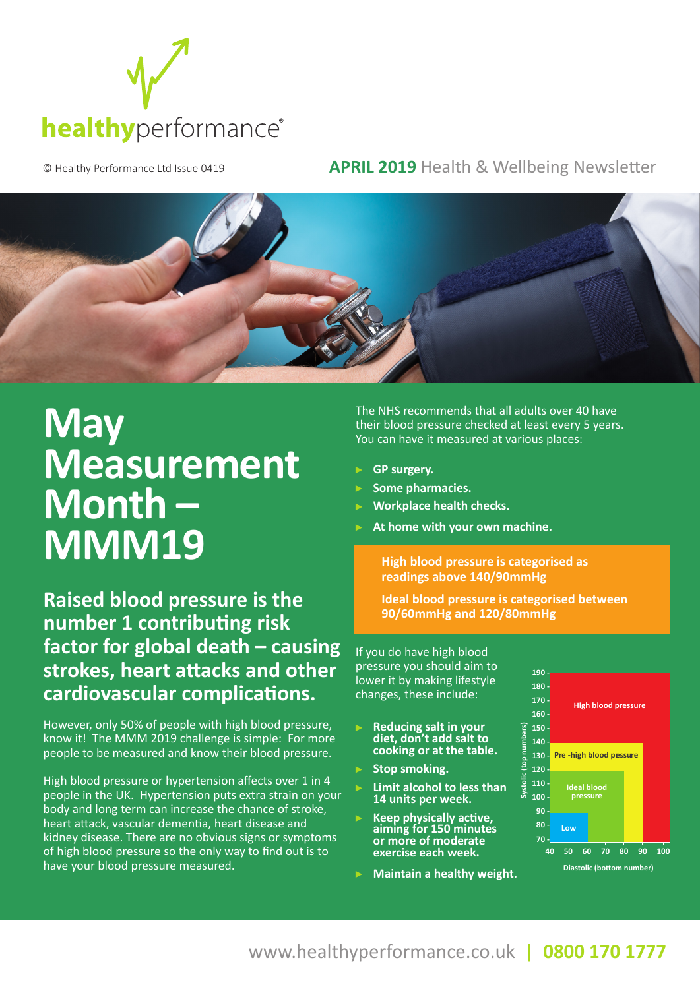

## © Healthy Performance Ltd Issue 0419 **APRIL 2019** Health & Wellbeing Newsletter



## **May Measurement Month – MMM19**

**Raised blood pressure is the number 1 contributing risk factor for global death – causing strokes, heart attacks and other cardiovascular complications.** 

However, only 50% of people with high blood pressure, know it! The MMM 2019 challenge is simple: For more people to be measured and know their blood pressure.

High blood pressure or hypertension affects over 1 in 4 people in the UK. Hypertension puts extra strain on your body and long term can increase the chance of stroke, heart attack, vascular dementia, heart disease and kidney disease. There are no obvious signs or symptoms of high blood pressure so the only way to find out is to have your blood pressure measured.

The NHS recommends that all adults over 40 have their blood pressure checked at least every 5 years. You can have it measured at various places:

- **GP surgery.**
- **Some pharmacies.**
- **Workplace health checks.**
- **At home with your own machine.**

**High blood pressure is categorised as readings above 140/90mmHg** 

**Ideal blood pressure is categorised between 90/60mmHg and 120/80mmHg**

If you do have high blood pressure you should aim to lower it by making lifestyle changes, these include:

- **Reducing salt in your diet, don't add salt to cooking or at the table.**
- **Stop smoking.**
- **Limit alcohol to less than 14 units per week.**
- $\blacktriangleright$ **Keep physically active, aiming for 150 minutes or more of moderate exercise each week.**
- **Maintain a healthy weight.**